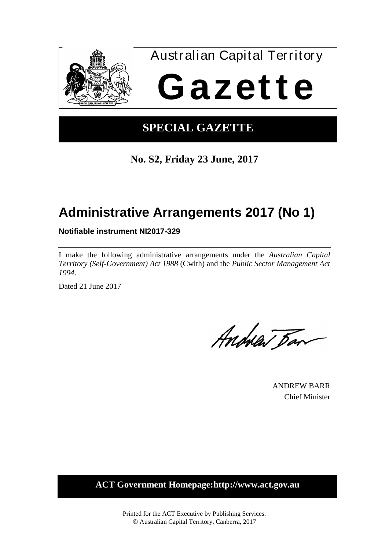

## **SPECIAL GAZETTE**

**No. S2, Friday 23 June, 2017**

# **Administrative Arrangements 2017 (No 1)**

**Notifiable instrument NI2017-329**

I make the following administrative arrangements under the *Australian Capital Territory (Self-Government) Act 1988* (Cwlth) and the *Public Sector Management Act 1994*.

Dated 21 June 2017

Andrew Dan

ANDREW BARR Chief Minister

**ACT Government Homepage:http://www.act.gov.au**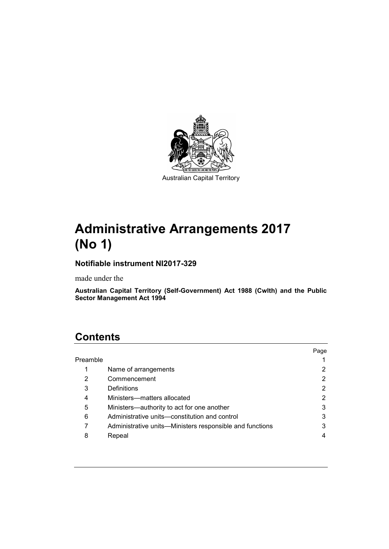

# **Administrative Arrangements 2017 (No 1)**

## **Notifiable instrument NI2017-329**

made under the

**Australian Capital Territory (Self-Government) Act 1988 (Cwlth) and the Public Sector Management Act 1994**

## **Contents**

|          |                                                          | Page |
|----------|----------------------------------------------------------|------|
| Preamble |                                                          |      |
|          | Name of arrangements                                     | 2    |
| 2        | Commencement                                             | 2    |
| 3        | Definitions                                              |      |
| 4        | Ministers-matters allocated                              | 2    |
| 5        | Ministers-authority to act for one another               | 3    |
| 6        | Administrative units—constitution and control            | 3    |
|          | Administrative units—Ministers responsible and functions | 3    |
| 8        | Repeal                                                   |      |
|          |                                                          |      |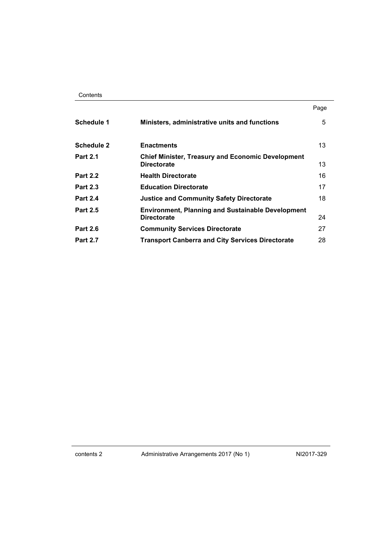| Contents |
|----------|
|----------|

|                   |                                                                                | Page |
|-------------------|--------------------------------------------------------------------------------|------|
| Schedule 1        | Ministers, administrative units and functions                                  | 5    |
| <b>Schedule 2</b> | <b>Enactments</b>                                                              | 13   |
| <b>Part 2.1</b>   | <b>Chief Minister, Treasury and Economic Development</b><br><b>Directorate</b> | 13   |
| <b>Part 2.2</b>   | <b>Health Directorate</b>                                                      | 16   |
| <b>Part 2.3</b>   | <b>Education Directorate</b>                                                   | 17   |
| <b>Part 2.4</b>   | <b>Justice and Community Safety Directorate</b>                                | 18   |
| <b>Part 2.5</b>   | <b>Environment, Planning and Sustainable Development</b><br><b>Directorate</b> | 24   |
| <b>Part 2.6</b>   | <b>Community Services Directorate</b>                                          | 27   |
| <b>Part 2.7</b>   | <b>Transport Canberra and City Services Directorate</b>                        | 28   |

contents 2 Administrative Arrangements 2017 (No 1) NI2017-329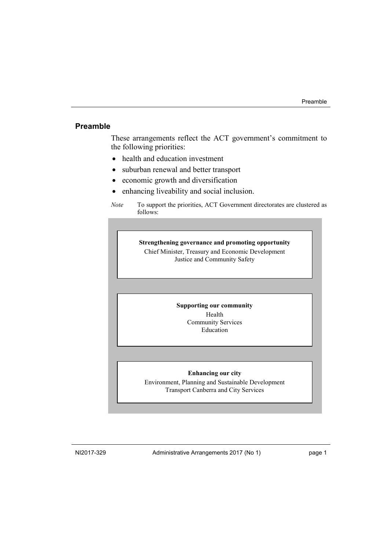### <span id="page-4-0"></span>**Preamble**

These arrangements reflect the ACT government's commitment to the following priorities:

- health and education investment
- suburban renewal and better transport
- economic growth and diversification
- enhancing liveability and social inclusion.

**Strengthening governance and promoting opportunity** Chief Minister, Treasury and Economic Development Justice and Community Safety

#### **Supporting our community**

Health Community Services Education

#### **Enhancing our city**

Environment, Planning and Sustainable Development Transport Canberra and City Services

NI2017-329 Administrative Arrangements 2017 (No 1) page 1

*Note* To support the priorities, ACT Government directorates are clustered as follows: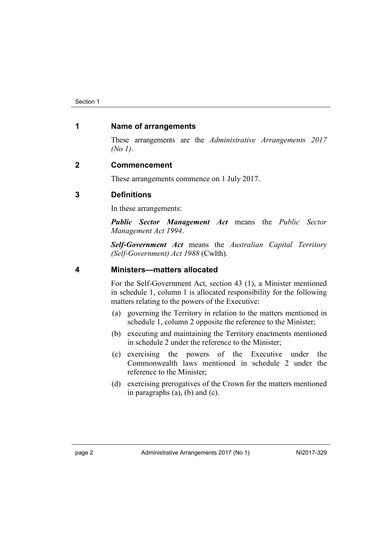### <span id="page-5-0"></span>**1 Name of arrangements**

These arrangements are the *Administrative Arrangements 2017 (No 1)*.

### <span id="page-5-1"></span>**2 Commencement**

These arrangements commence on 1 July 2017.

### <span id="page-5-2"></span>**3 Definitions**

In these arrangements:

*Public Sector Management Act* means the *Public Sector Management Act 1994*.

*Self-Government Act* means the *Australian Capital Territory (Self-Government) Act 1988* (Cwlth).

### <span id="page-5-3"></span>**4 Ministers—matters allocated**

For the Self-Government Act, section 43 (1), a Minister mentioned in schedule 1, column 1 is allocated responsibility for the following matters relating to the powers of the Executive:

- (a) governing the Territory in relation to the matters mentioned in schedule 1, column 2 opposite the reference to the Minister;
- (b) executing and maintaining the Territory enactments mentioned in schedule 2 under the reference to the Minister;
- (c) exercising the powers of the Executive under the Commonwealth laws mentioned in schedule 2 under the reference to the Minister;
- (d) exercising prerogatives of the Crown for the matters mentioned in paragraphs (a), (b) and (c).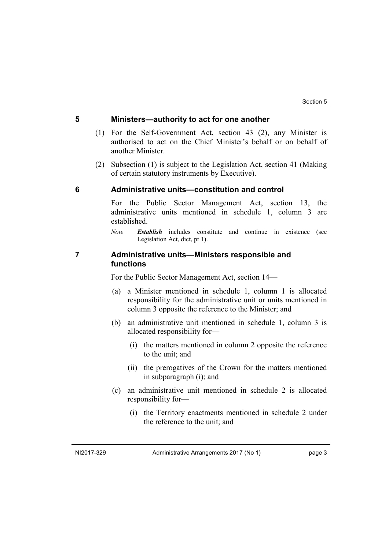### <span id="page-6-0"></span>**5 Ministers—authority to act for one another**

- (1) For the Self-Government Act, section 43 (2), any Minister is authorised to act on the Chief Minister's behalf or on behalf of another Minister.
- (2) Subsection (1) is subject to the Legislation Act, section 41 (Making of certain statutory instruments by Executive).

### <span id="page-6-1"></span>**6 Administrative units—constitution and control**

For the Public Sector Management Act, section 13, the administrative units mentioned in schedule 1, column 3 are established.

*Note Establish* includes constitute and continue in existence (see Legislation Act, dict, pt 1).

### <span id="page-6-2"></span>**7 Administrative units—Ministers responsible and functions**

For the Public Sector Management Act, section 14—

- (a) a Minister mentioned in schedule 1, column 1 is allocated responsibility for the administrative unit or units mentioned in column 3 opposite the reference to the Minister; and
- (b) an administrative unit mentioned in schedule 1, column 3 is allocated responsibility for—
	- (i) the matters mentioned in column 2 opposite the reference to the unit; and
	- (ii) the prerogatives of the Crown for the matters mentioned in subparagraph (i); and
- (c) an administrative unit mentioned in schedule 2 is allocated responsibility for—
	- (i) the Territory enactments mentioned in schedule 2 under the reference to the unit; and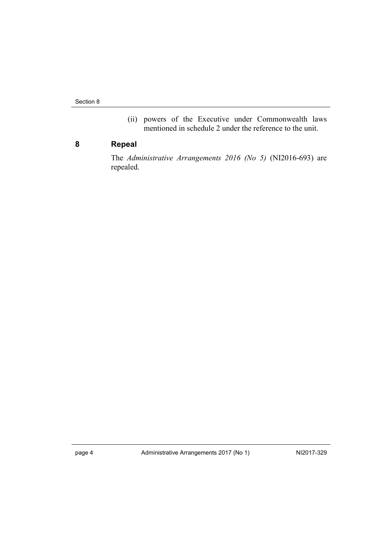Section 8

(ii) powers of the Executive under Commonwealth laws mentioned in schedule 2 under the reference to the unit.

## <span id="page-7-0"></span>**8 Repeal**

The *Administrative Arrangements 2016 (No 5)* (NI2016-693) are repealed.

page 4 Administrative Arrangements 2017 (No 1) NI2017-329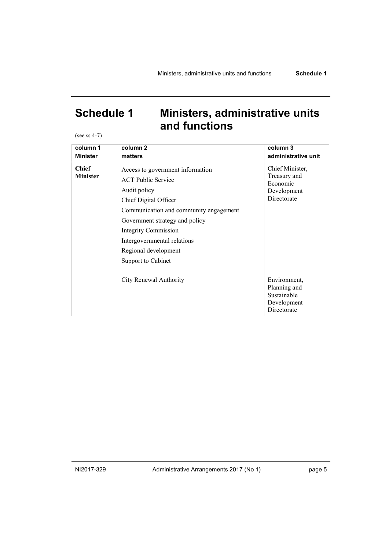<span id="page-8-0"></span>(see ss 4-7)

| column 1                        | column <sub>2</sub>                                                                                                                                                                                                                                                                            | column 3                                                                  |
|---------------------------------|------------------------------------------------------------------------------------------------------------------------------------------------------------------------------------------------------------------------------------------------------------------------------------------------|---------------------------------------------------------------------------|
| <b>Minister</b>                 | matters                                                                                                                                                                                                                                                                                        | administrative unit                                                       |
| <b>Chief</b><br><b>Minister</b> | Access to government information<br><b>ACT</b> Public Service<br>Audit policy<br>Chief Digital Officer<br>Communication and community engagement<br>Government strategy and policy<br><b>Integrity Commission</b><br>Intergovernmental relations<br>Regional development<br>Support to Cabinet | Chief Minister,<br>Treasury and<br>Economic<br>Development<br>Directorate |
|                                 | City Renewal Authority                                                                                                                                                                                                                                                                         | Environment,<br>Planning and<br>Sustainable<br>Development<br>Directorate |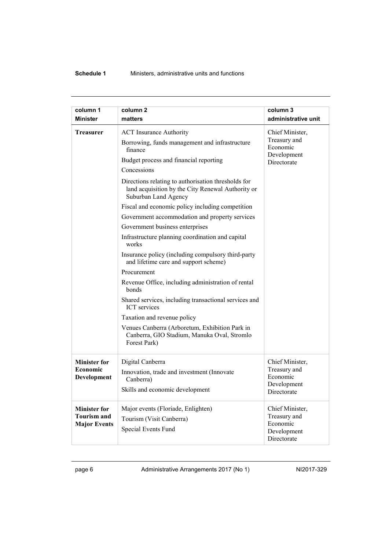| column 1<br><b>Minister</b> | column <sub>2</sub><br>matters                                                                                                   | column 3<br>administrative unit         |
|-----------------------------|----------------------------------------------------------------------------------------------------------------------------------|-----------------------------------------|
| <b>Treasurer</b>            | <b>ACT</b> Insurance Authority                                                                                                   | Chief Minister,                         |
|                             | Borrowing, funds management and infrastructure<br>finance                                                                        | Treasury and<br>Economic<br>Development |
|                             | Budget process and financial reporting                                                                                           | Directorate                             |
|                             | Concessions                                                                                                                      |                                         |
|                             | Directions relating to authorisation thresholds for<br>land acquisition by the City Renewal Authority or<br>Suburban Land Agency |                                         |
|                             | Fiscal and economic policy including competition                                                                                 |                                         |
|                             | Government accommodation and property services                                                                                   |                                         |
|                             | Government business enterprises                                                                                                  |                                         |
|                             | Infrastructure planning coordination and capital<br>works                                                                        |                                         |
|                             | Insurance policy (including compulsory third-party<br>and lifetime care and support scheme)                                      |                                         |
|                             | Procurement                                                                                                                      |                                         |
|                             | Revenue Office, including administration of rental<br>bonds                                                                      |                                         |
|                             | Shared services, including transactional services and<br><b>ICT</b> services                                                     |                                         |
|                             | Taxation and revenue policy                                                                                                      |                                         |
|                             | Venues Canberra (Arboretum, Exhibition Park in<br>Canberra, GIO Stadium, Manuka Oval, Stromlo<br>Forest Park)                    |                                         |
| <b>Minister for</b>         | Digital Canberra                                                                                                                 | Chief Minister,                         |
| Economic<br>Development     | Innovation, trade and investment (Innovate<br>Canberra)                                                                          | Treasury and<br>Economic                |
|                             | Skills and economic development                                                                                                  | Development<br>Directorate              |
| <b>Minister for</b>         | Major events (Floriade, Enlighten)                                                                                               | Chief Minister,                         |
| <b>Tourism and</b>          | Tourism (Visit Canberra)                                                                                                         | Treasury and<br>Economic                |
| <b>Major Events</b>         | Special Events Fund                                                                                                              | Development<br>Directorate              |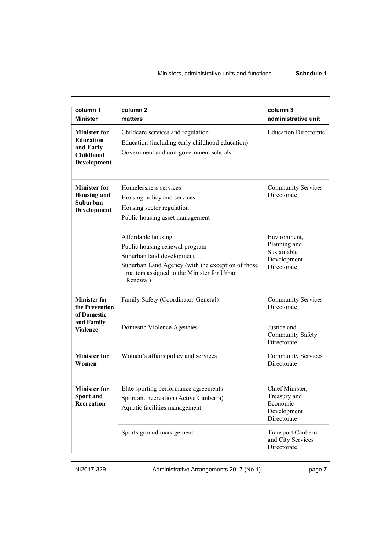| column 1<br><b>Minister</b>                                                             | column <sub>2</sub><br>matters                                                                                                                                                                   | column 3<br>administrative unit                                            |
|-----------------------------------------------------------------------------------------|--------------------------------------------------------------------------------------------------------------------------------------------------------------------------------------------------|----------------------------------------------------------------------------|
| <b>Minister for</b><br><b>Education</b><br>and Early<br><b>Childhood</b><br>Development | Childcare services and regulation<br>Education (including early childhood education)<br>Government and non-government schools                                                                    | <b>Education Directorate</b>                                               |
| <b>Minister for</b><br><b>Housing and</b><br>Suburban<br>Development                    | Homelessness services<br>Housing policy and services<br>Housing sector regulation<br>Public housing asset management                                                                             | <b>Community Services</b><br>Directorate                                   |
|                                                                                         | Affordable housing<br>Public housing renewal program<br>Suburban land development<br>Suburban Land Agency (with the exception of those<br>matters assigned to the Minister for Urban<br>Renewal) | Environment,<br>Planning and<br>Sustainable<br>Development<br>Directorate  |
| <b>Minister for</b><br>the Prevention<br>of Domestic<br>and Family<br><b>Violence</b>   | Family Safety (Coordinator-General)                                                                                                                                                              | <b>Community Services</b><br>Directorate                                   |
|                                                                                         | Domestic Violence Agencies                                                                                                                                                                       | Justice and<br><b>Community Safety</b><br>Directorate                      |
| <b>Minister for</b><br>Women                                                            | Women's affairs policy and services                                                                                                                                                              | <b>Community Services</b><br>Directorate                                   |
| <b>Minister for</b><br>Sport and<br>Recreation                                          | Elite sporting performance agreements<br>Sport and recreation (Active Canberra)<br>Aquatic facilities management                                                                                 | Chief Minister,<br>I reasury and<br>Economic<br>Development<br>Directorate |
|                                                                                         | Sports ground management                                                                                                                                                                         | Transport Canberra<br>and City Services<br>Directorate                     |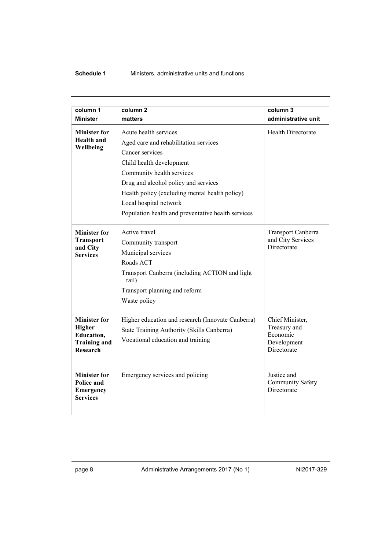| column 1<br><b>Minister</b>                                       | column <sub>2</sub><br>matters                          | column 3<br>administrative unit                       |
|-------------------------------------------------------------------|---------------------------------------------------------|-------------------------------------------------------|
|                                                                   |                                                         |                                                       |
| <b>Minister for</b><br><b>Health</b> and                          | Acute health services                                   | <b>Health Directorate</b>                             |
| Wellbeing                                                         | Aged care and rehabilitation services                   |                                                       |
|                                                                   | Cancer services                                         |                                                       |
|                                                                   | Child health development                                |                                                       |
|                                                                   | Community health services                               |                                                       |
|                                                                   | Drug and alcohol policy and services                    |                                                       |
|                                                                   | Health policy (excluding mental health policy)          |                                                       |
|                                                                   | Local hospital network                                  |                                                       |
|                                                                   | Population health and preventative health services      |                                                       |
| <b>Minister for</b>                                               | Active travel                                           | Transport Canberra                                    |
| <b>Transport</b>                                                  | Community transport                                     | and City Services<br>Directorate                      |
| and City<br><b>Services</b>                                       | Municipal services                                      |                                                       |
|                                                                   | Roads ACT                                               |                                                       |
|                                                                   | Transport Canberra (including ACTION and light<br>rail) |                                                       |
|                                                                   | Transport planning and reform                           |                                                       |
|                                                                   | Waste policy                                            |                                                       |
| <b>Minister for</b><br>Higher                                     | Higher education and research (Innovate Canberra)       | Chief Minister,<br>Treasury and                       |
| Education,                                                        | State Training Authority (Skills Canberra)              | Economic                                              |
| <b>Training and</b><br><b>Research</b>                            | Vocational education and training                       | Development<br>Directorate                            |
|                                                                   |                                                         |                                                       |
| <b>Minister for</b><br>Police and<br>Emergency<br><b>Services</b> | Emergency services and policing                         | Justice and<br><b>Community Safety</b><br>Directorate |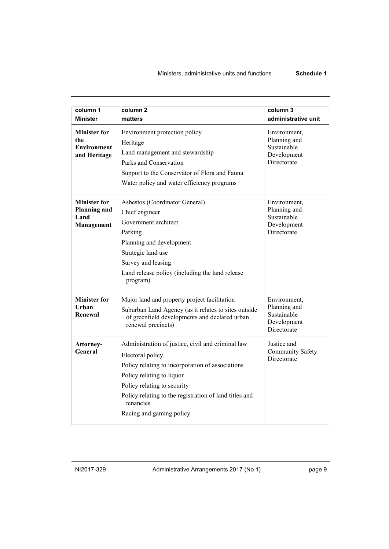| column 1<br><b>Minister</b>                                      | column <sub>2</sub><br>matters                                                                                                                                                                                                                                                           | column 3<br>administrative unit                                           |
|------------------------------------------------------------------|------------------------------------------------------------------------------------------------------------------------------------------------------------------------------------------------------------------------------------------------------------------------------------------|---------------------------------------------------------------------------|
| <b>Minister for</b><br>the<br><b>Environment</b><br>and Heritage | Environment protection policy<br>Heritage<br>Land management and stewardship<br>Parks and Conservation<br>Support to the Conservator of Flora and Fauna<br>Water policy and water efficiency programs                                                                                    | Environment,<br>Planning and<br>Sustainable<br>Development<br>Directorate |
| <b>Minister for</b><br><b>Planning and</b><br>Land<br>Management | Asbestos (Coordinator General)<br>Chief engineer<br>Government architect<br>Parking<br>Planning and development<br>Strategic land use<br>Survey and leasing<br>Land release policy (including the land release<br>program)                                                               | Environment,<br>Planning and<br>Sustainable<br>Development<br>Directorate |
| <b>Minister for</b><br>Urban<br>Renewal                          | Major land and property project facilitation<br>Suburban Land Agency (as it relates to sites outside<br>of greenfield developments and declared urban<br>renewal precincts)                                                                                                              | Environment,<br>Planning and<br>Sustainable<br>Development<br>Directorate |
| Attorney-<br>General                                             | Administration of justice, civil and criminal law<br>Electoral policy<br>Policy relating to incorporation of associations<br>Policy relating to liquor<br>Policy relating to security<br>Policy relating to the registration of land titles and<br>tenancies<br>Racing and gaming policy | Justice and<br><b>Community Safety</b><br>Directorate                     |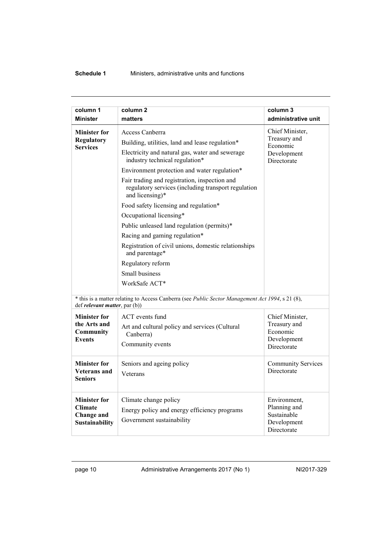| column 1<br><b>Minister</b>                                                                                       | column <sub>2</sub><br>matters                                                                                                                                                                                                                                                                                                                                                                                                                                                                                                                                                                                          | column 3<br>administrative unit                                           |
|-------------------------------------------------------------------------------------------------------------------|-------------------------------------------------------------------------------------------------------------------------------------------------------------------------------------------------------------------------------------------------------------------------------------------------------------------------------------------------------------------------------------------------------------------------------------------------------------------------------------------------------------------------------------------------------------------------------------------------------------------------|---------------------------------------------------------------------------|
| <b>Minister for</b><br><b>Regulatory</b><br><b>Services</b>                                                       | Access Canberra<br>Building, utilities, land and lease regulation*<br>Electricity and natural gas, water and sewerage<br>industry technical regulation*<br>Environment protection and water regulation*<br>Fair trading and registration, inspection and<br>regulatory services (including transport regulation<br>and licensing)*<br>Food safety licensing and regulation*<br>Occupational licensing*<br>Public unleased land regulation (permits)*<br>Racing and gaming regulation*<br>Registration of civil unions, domestic relationships<br>and parentage*<br>Regulatory reform<br>Small business<br>WorkSafe ACT* | Chief Minister,<br>Treasury and<br>Economic<br>Development<br>Directorate |
|                                                                                                                   | * this is a matter relating to Access Canberra (see Public Sector Management Act 1994, s 21 (8),                                                                                                                                                                                                                                                                                                                                                                                                                                                                                                                        |                                                                           |
| def <i>relevant matter</i> , par (b))<br><b>Minister for</b><br>the Arts and<br><b>Community</b><br><b>Events</b> | ACT events fund<br>Art and cultural policy and services (Cultural<br>Canberra)<br>Community events                                                                                                                                                                                                                                                                                                                                                                                                                                                                                                                      | Chief Minister,<br>Treasury and<br>Economic<br>Development<br>Directorate |
| <b>Minister for</b><br><b>Veterans</b> and<br><b>Seniors</b>                                                      | Seniors and ageing policy<br>Veterans                                                                                                                                                                                                                                                                                                                                                                                                                                                                                                                                                                                   | <b>Community Services</b><br>Directorate                                  |
| <b>Minister for</b><br><b>Climate</b><br>Change and<br>Sustainability                                             | Climate change policy<br>Energy policy and energy efficiency programs<br>Government sustainability                                                                                                                                                                                                                                                                                                                                                                                                                                                                                                                      | Environment,<br>Planning and<br>Sustainable<br>Development<br>Directorate |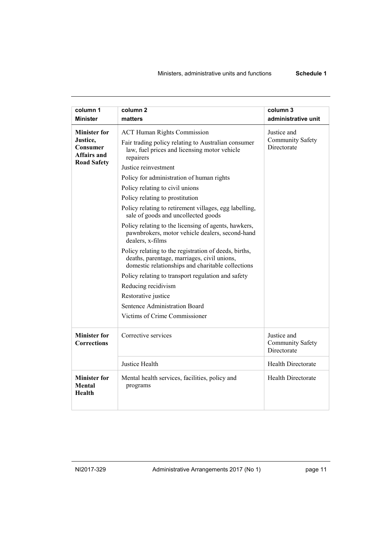| column 1                                                  | column <sub>2</sub>                                                                                                                                       | column 3                                              |
|-----------------------------------------------------------|-----------------------------------------------------------------------------------------------------------------------------------------------------------|-------------------------------------------------------|
| <b>Minister</b>                                           | matters                                                                                                                                                   | administrative unit                                   |
| <b>Minister for</b>                                       | <b>ACT Human Rights Commission</b>                                                                                                                        | Justice and                                           |
| Justice,<br>Consumer<br>Affairs and<br><b>Road Safety</b> | Fair trading policy relating to Australian consumer<br>law, fuel prices and licensing motor vehicle<br>repairers                                          | <b>Community Safety</b><br>Directorate                |
|                                                           | Justice reinvestment                                                                                                                                      |                                                       |
|                                                           | Policy for administration of human rights                                                                                                                 |                                                       |
|                                                           | Policy relating to civil unions                                                                                                                           |                                                       |
|                                                           | Policy relating to prostitution                                                                                                                           |                                                       |
|                                                           | Policy relating to retirement villages, egg labelling,<br>sale of goods and uncollected goods                                                             |                                                       |
|                                                           | Policy relating to the licensing of agents, hawkers,<br>pawnbrokers, motor vehicle dealers, second-hand<br>dealers, x-films                               |                                                       |
|                                                           | Policy relating to the registration of deeds, births,<br>deaths, parentage, marriages, civil unions,<br>domestic relationships and charitable collections |                                                       |
|                                                           | Policy relating to transport regulation and safety                                                                                                        |                                                       |
|                                                           | Reducing recidivism                                                                                                                                       |                                                       |
|                                                           | Restorative justice                                                                                                                                       |                                                       |
|                                                           | Sentence Administration Board                                                                                                                             |                                                       |
|                                                           | Victims of Crime Commissioner                                                                                                                             |                                                       |
| <b>Minister for</b><br><b>Corrections</b>                 | Corrective services                                                                                                                                       | Justice and<br><b>Community Safety</b><br>Directorate |
|                                                           | Justice Health                                                                                                                                            | <b>Health Directorate</b>                             |
| <b>Minister for</b><br>Mental<br>Health                   | Mental health services, facilities, policy and<br>programs                                                                                                | <b>Health Directorate</b>                             |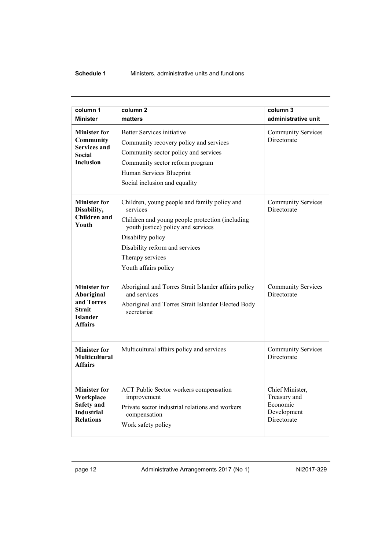| column 1                               | column <sub>2</sub>                                                                   | column 3                                 |
|----------------------------------------|---------------------------------------------------------------------------------------|------------------------------------------|
| <b>Minister</b>                        | matters                                                                               | administrative unit                      |
| <b>Minister for</b><br>Community       | <b>Better Services initiative</b>                                                     | <b>Community Services</b><br>Directorate |
| <b>Services and</b>                    | Community recovery policy and services                                                |                                          |
| Social                                 | Community sector policy and services                                                  |                                          |
| <b>Inclusion</b>                       | Community sector reform program                                                       |                                          |
|                                        | Human Services Blueprint                                                              |                                          |
|                                        | Social inclusion and equality                                                         |                                          |
| <b>Minister for</b><br>Disability,     | Children, young people and family policy and<br>services                              | <b>Community Services</b><br>Directorate |
| <b>Children</b> and<br>Youth           | Children and young people protection (including<br>youth justice) policy and services |                                          |
|                                        | Disability policy                                                                     |                                          |
|                                        | Disability reform and services                                                        |                                          |
|                                        | Therapy services                                                                      |                                          |
|                                        | Youth affairs policy                                                                  |                                          |
| <b>Minister for</b>                    | Aboriginal and Torres Strait Islander affairs policy                                  | <b>Community Services</b>                |
| Aboriginal<br>and Torres               | and services                                                                          | Directorate                              |
| <b>Strait</b>                          | Aboriginal and Torres Strait Islander Elected Body<br>secretariat                     |                                          |
| <b>Islander</b><br><b>Affairs</b>      |                                                                                       |                                          |
|                                        |                                                                                       |                                          |
| <b>Minister for</b>                    | Multicultural affairs policy and services                                             | <b>Community Services</b>                |
| <b>Multicultural</b><br><b>Affairs</b> |                                                                                       | Directorate                              |
|                                        |                                                                                       |                                          |
| <b>Minister for</b><br>Workplace       | ACT Public Sector workers compensation<br>improvement                                 | Chief Minister,<br>Treasury and          |
| <b>Safety</b> and                      | Private sector industrial relations and workers                                       | Economic                                 |
| <b>Industrial</b>                      | compensation                                                                          | Development                              |
| <b>Relations</b>                       | Work safety policy                                                                    | Directorate                              |
|                                        |                                                                                       |                                          |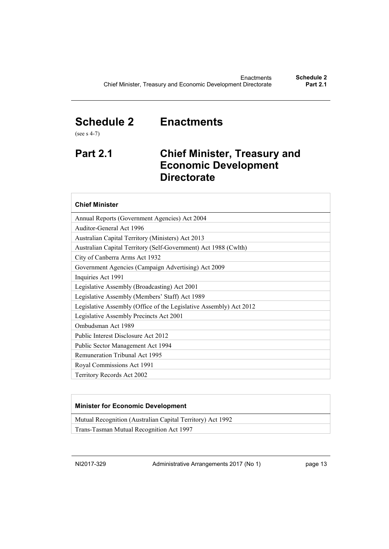## <span id="page-16-0"></span>**Schedule 2 Enactments**

(see s 4-7)

## <span id="page-16-1"></span>**Part 2.1 Chief Minister, Treasury and Economic Development Directorate**

### **Chief Minister**

| Annual Reports (Government Agencies) Act 2004                      |
|--------------------------------------------------------------------|
| Auditor-General Act 1996                                           |
| Australian Capital Territory (Ministers) Act 2013                  |
| Australian Capital Territory (Self-Government) Act 1988 (Cwlth)    |
| City of Canberra Arms Act 1932                                     |
| Government Agencies (Campaign Advertising) Act 2009                |
| Inquiries Act 1991                                                 |
| Legislative Assembly (Broadcasting) Act 2001                       |
| Legislative Assembly (Members' Staff) Act 1989                     |
| Legislative Assembly (Office of the Legislative Assembly) Act 2012 |
| Legislative Assembly Precincts Act 2001                            |
| Ombudsman Act 1989                                                 |
| Public Interest Disclosure Act 2012                                |
| Public Sector Management Act 1994                                  |
| <b>Remuneration Tribunal Act 1995</b>                              |
| Royal Commissions Act 1991                                         |
| Territory Records Act 2002                                         |

### **Minister for Economic Development**

Mutual Recognition (Australian Capital Territory) Act 1992

Trans-Tasman Mutual Recognition Act 1997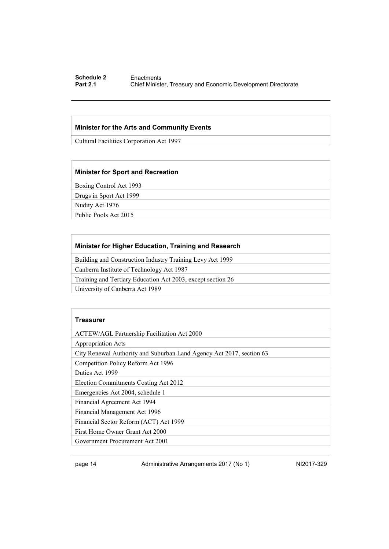#### **Schedule 2** Enactments<br> **Part 2.1** Chief Ministe **Chief Minister, Treasury and Economic Development Directorate**

#### **Minister for the Arts and Community Events**

Cultural Facilities Corporation Act 1997

#### **Minister for Sport and Recreation**

Boxing Control Act 1993

Drugs in Sport Act 1999

Nudity Act 1976

Public Pools Act 2015

### **Minister for Higher Education, Training and Research**

Building and Construction Industry Training Levy Act 1999

Canberra Institute of Technology Act 1987

Training and Tertiary Education Act 2003, except section 26

University of Canberra Act 1989

#### **Treasurer**

ACTEW/AGL Partnership Facilitation Act 2000

Appropriation Acts

City Renewal Authority and Suburban Land Agency Act 2017, section 63

Competition Policy Reform Act 1996

Duties Act 1999

Election Commitments Costing Act 2012

Emergencies Act 2004, schedule 1

Financial Agreement Act 1994

Financial Management Act 1996

Financial Sector Reform (ACT) Act 1999

First Home Owner Grant Act 2000

Government Procurement Act 2001

page 14 Administrative Arrangements 2017 (No 1) NI2017-329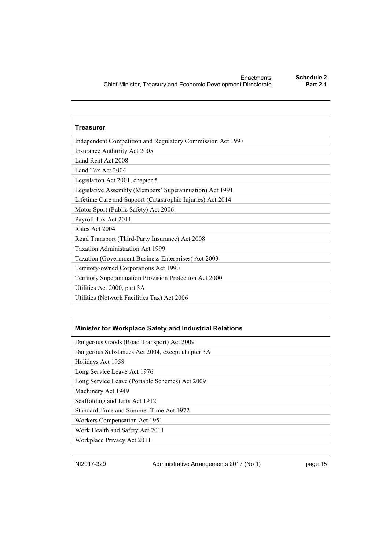| Treasurer                                                  |
|------------------------------------------------------------|
| Independent Competition and Regulatory Commission Act 1997 |
| Insurance Authority Act 2005                               |
| Land Rent Act 2008                                         |
| Land Tax Act 2004                                          |
| Legislation Act 2001, chapter 5                            |
| Legislative Assembly (Members' Superannuation) Act 1991    |
| Lifetime Care and Support (Catastrophic Injuries) Act 2014 |
| Motor Sport (Public Safety) Act 2006                       |
| Payroll Tax Act 2011                                       |
| Rates Act 2004                                             |
| Road Transport (Third-Party Insurance) Act 2008            |
| <b>Taxation Administration Act 1999</b>                    |
| Taxation (Government Business Enterprises) Act 2003        |
| Territory-owned Corporations Act 1990                      |
| Territory Superannuation Provision Protection Act 2000     |
| Utilities Act 2000, part 3A                                |
| Utilities (Network Facilities Tax) Act 2006                |

### **Minister for Workplace Safety and Industrial Relations**

Dangerous Goods (Road Transport) Act 2009

Dangerous Substances Act 2004, except chapter 3A

Holidays Act 1958

Long Service Leave Act 1976

Long Service Leave (Portable Schemes) Act 2009

Machinery Act 1949

Scaffolding and Lifts Act 1912

Standard Time and Summer Time Act 1972

Workers Compensation Act 1951

Work Health and Safety Act 2011

Workplace Privacy Act 2011

NI2017-329 Administrative Arrangements 2017 (No 1) page 15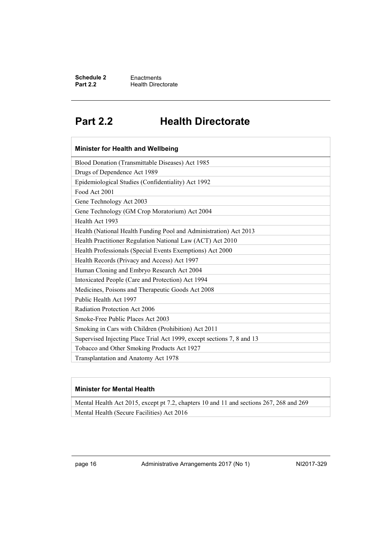## <span id="page-19-0"></span>**Part 2.2 Health Directorate**

| Minister for Health and Wellbeing                                      |  |  |
|------------------------------------------------------------------------|--|--|
| Blood Donation (Transmittable Diseases) Act 1985                       |  |  |
| Drugs of Dependence Act 1989                                           |  |  |
| Epidemiological Studies (Confidentiality) Act 1992                     |  |  |
| Food Act 2001                                                          |  |  |
| Gene Technology Act 2003                                               |  |  |
| Gene Technology (GM Crop Moratorium) Act 2004                          |  |  |
| Health Act 1993                                                        |  |  |
| Health (National Health Funding Pool and Administration) Act 2013      |  |  |
| Health Practitioner Regulation National Law (ACT) Act 2010             |  |  |
| Health Professionals (Special Events Exemptions) Act 2000              |  |  |
| Health Records (Privacy and Access) Act 1997                           |  |  |
| Human Cloning and Embryo Research Act 2004                             |  |  |
| Intoxicated People (Care and Protection) Act 1994                      |  |  |
| Medicines, Poisons and Therapeutic Goods Act 2008                      |  |  |
| Public Health Act 1997                                                 |  |  |
| Radiation Protection Act 2006                                          |  |  |
| Smoke-Free Public Places Act 2003                                      |  |  |
| Smoking in Cars with Children (Prohibition) Act 2011                   |  |  |
| Supervised Injecting Place Trial Act 1999, except sections 7, 8 and 13 |  |  |
| Tobacco and Other Smoking Products Act 1927                            |  |  |
| Transplantation and Anatomy Act 1978                                   |  |  |

### **Minister for Mental Health**

Mental Health Act 2015, except pt 7.2, chapters 10 and 11 and sections 267, 268 and 269 Mental Health (Secure Facilities) Act 2016

page 16 Administrative Arrangements 2017 (No 1) NI2017-329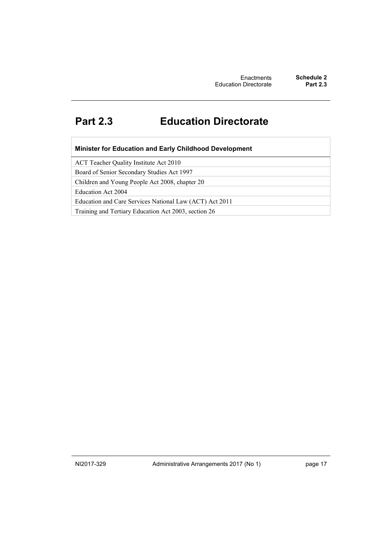## <span id="page-20-0"></span>**Part 2.3 Education Directorate**

| Minister for Education and Early Childhood Development |  |
|--------------------------------------------------------|--|
|--------------------------------------------------------|--|

ACT Teacher Quality Institute Act 2010

Board of Senior Secondary Studies Act 1997

Children and Young People Act 2008, chapter 20

Education Act 2004

Education and Care Services National Law (ACT) Act 2011

Training and Tertiary Education Act 2003, section 26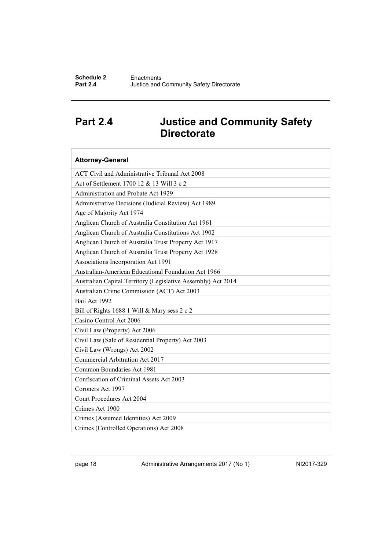## <span id="page-21-0"></span>**Part 2.4 Justice and Community Safety Directorate**

| <b>Attorney-General</b>                                      |  |  |  |
|--------------------------------------------------------------|--|--|--|
| ACT Civil and Administrative Tribunal Act 2008               |  |  |  |
| Act of Settlement 1700 12 & 13 Will 3 c 2                    |  |  |  |
| Administration and Probate Act 1929                          |  |  |  |
| Administrative Decisions (Judicial Review) Act 1989          |  |  |  |
| Age of Majority Act 1974                                     |  |  |  |
| Anglican Church of Australia Constitution Act 1961           |  |  |  |
| Anglican Church of Australia Constitutions Act 1902          |  |  |  |
| Anglican Church of Australia Trust Property Act 1917         |  |  |  |
| Anglican Church of Australia Trust Property Act 1928         |  |  |  |
| Associations Incorporation Act 1991                          |  |  |  |
| Australian-American Educational Foundation Act 1966          |  |  |  |
| Australian Capital Territory (Legislative Assembly) Act 2014 |  |  |  |
| Australian Crime Commission (ACT) Act 2003                   |  |  |  |
| Bail Act 1992                                                |  |  |  |
| Bill of Rights 1688 1 Will & Mary sess 2 c 2                 |  |  |  |
| Casino Control Act 2006                                      |  |  |  |
| Civil Law (Property) Act 2006                                |  |  |  |
| Civil Law (Sale of Residential Property) Act 2003            |  |  |  |
| Civil Law (Wrongs) Act 2002                                  |  |  |  |
| Commercial Arbitration Act 2017                              |  |  |  |
| Common Boundaries Act 1981                                   |  |  |  |
| Confiscation of Criminal Assets Act 2003                     |  |  |  |
| Coroners Act 1997                                            |  |  |  |
| <b>Court Procedures Act 2004</b>                             |  |  |  |
| Crimes Act 1900                                              |  |  |  |
| Crimes (Assumed Identities) Act 2009                         |  |  |  |
| Crimes (Controlled Operations) Act 2008                      |  |  |  |

page 18 Administrative Arrangements 2017 (No 1) NI2017-329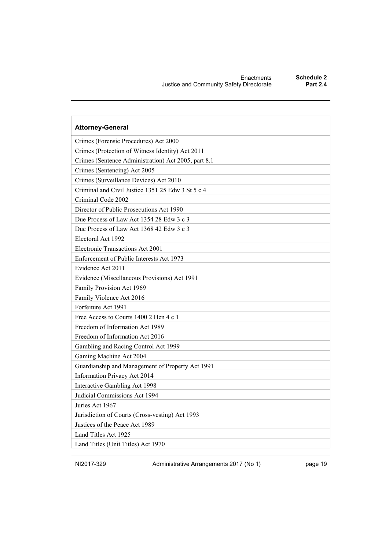| <b>Attorney-General</b>                             |  |  |
|-----------------------------------------------------|--|--|
| Crimes (Forensic Procedures) Act 2000               |  |  |
| Crimes (Protection of Witness Identity) Act 2011    |  |  |
| Crimes (Sentence Administration) Act 2005, part 8.1 |  |  |
| Crimes (Sentencing) Act 2005                        |  |  |
| Crimes (Surveillance Devices) Act 2010              |  |  |
| Criminal and Civil Justice 1351 25 Edw 3 St 5 c 4   |  |  |
| Criminal Code 2002                                  |  |  |
| Director of Public Prosecutions Act 1990            |  |  |
| Due Process of Law Act 1354 28 Edw 3 c 3            |  |  |
| Due Process of Law Act 1368 42 Edw 3 c 3            |  |  |
| Electoral Act 1992                                  |  |  |
| Electronic Transactions Act 2001                    |  |  |
| Enforcement of Public Interests Act 1973            |  |  |
| Evidence Act 2011                                   |  |  |
| Evidence (Miscellaneous Provisions) Act 1991        |  |  |
| Family Provision Act 1969                           |  |  |
| Family Violence Act 2016                            |  |  |
| Forfeiture Act 1991                                 |  |  |
| Free Access to Courts 1400 2 Hen 4 c 1              |  |  |
| Freedom of Information Act 1989                     |  |  |
| Freedom of Information Act 2016                     |  |  |
| Gambling and Racing Control Act 1999                |  |  |
| Gaming Machine Act 2004                             |  |  |
| Guardianship and Management of Property Act 1991    |  |  |
| Information Privacy Act 2014                        |  |  |
| Interactive Gambling Act 1998                       |  |  |
| Judicial Commissions Act 1994                       |  |  |
| Juries Act 1967                                     |  |  |
| Jurisdiction of Courts (Cross-vesting) Act 1993     |  |  |
| Justices of the Peace Act 1989                      |  |  |
| Land Titles Act 1925                                |  |  |
| Land Titles (Unit Titles) Act 1970                  |  |  |

NI2017-329 Administrative Arrangements 2017 (No 1) page 19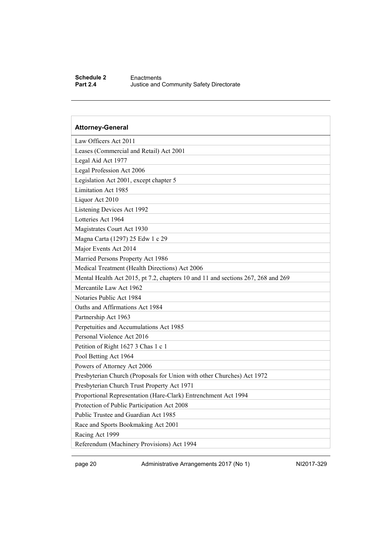#### **Schedule 2** Enactments<br>**Part 2.4** Justice and **Justice and Community Safety Directorate**

## **Attorney-General** Law Officers Act 2011 Leases (Commercial and Retail) Act 2001 Legal Aid Act 1977 Legal Profession Act 2006 Legislation Act 2001, except chapter 5 Limitation Act 1985 Liquor Act 2010 Listening Devices Act 1992 Lotteries Act 1964 Magistrates Court Act 1930 Magna Carta (1297) 25 Edw 1 c 29 Major Events Act 2014 Married Persons Property Act 1986 Medical Treatment (Health Directions) Act 2006 Mental Health Act 2015, pt 7.2, chapters 10 and 11 and sections 267, 268 and 269 Mercantile Law Act 1962 Notaries Public Act 1984 Oaths and Affirmations Act 1984 Partnership Act 1963 Perpetuities and Accumulations Act 1985 Personal Violence Act 2016 Petition of Right 1627 3 Chas 1 c 1 Pool Betting Act 1964 Powers of Attorney Act 2006 Presbyterian Church (Proposals for Union with other Churches) Act 1972 Presbyterian Church Trust Property Act 1971 Proportional Representation (Hare-Clark) Entrenchment Act 1994 Protection of Public Participation Act 2008 Public Trustee and Guardian Act 1985 Race and Sports Bookmaking Act 2001 Racing Act 1999 Referendum (Machinery Provisions) Act 1994

page 20 Administrative Arrangements 2017 (No 1) NI2017-329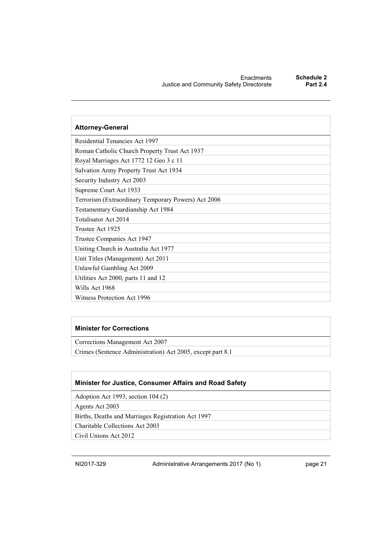| <b>Attorney-General</b>                             |  |  |
|-----------------------------------------------------|--|--|
| <b>Residential Tenancies Act 1997</b>               |  |  |
| Roman Catholic Church Property Trust Act 1937       |  |  |
| Royal Marriages Act 1772 12 Geo 3 c 11              |  |  |
| Salvation Army Property Trust Act 1934              |  |  |
| Security Industry Act 2003                          |  |  |
| Supreme Court Act 1933                              |  |  |
| Terrorism (Extraordinary Temporary Powers) Act 2006 |  |  |
| Testamentary Guardianship Act 1984                  |  |  |
| Totalisator Act 2014                                |  |  |
| Trustee Act 1925                                    |  |  |
| Trustee Companies Act 1947                          |  |  |
| Uniting Church in Australia Act 1977                |  |  |
| Unit Titles (Management) Act 2011                   |  |  |
| Unlawful Gambling Act 2009                          |  |  |
| Utilities Act 2000, parts 11 and 12                 |  |  |
| Wills Act 1968                                      |  |  |
| Witness Protection Act 1996                         |  |  |

### **Minister for Corrections**

Corrections Management Act 2007

Crimes (Sentence Administration) Act 2005, except part 8.1

### **Minister for Justice, Consumer Affairs and Road Safety**

Adoption Act 1993, section 104 (2)

Agents Act 2003

Births, Deaths and Marriages Registration Act 1997

Charitable Collections Act 2003

Civil Unions Act 2012

NI2017-329 Administrative Arrangements 2017 (No 1) page 21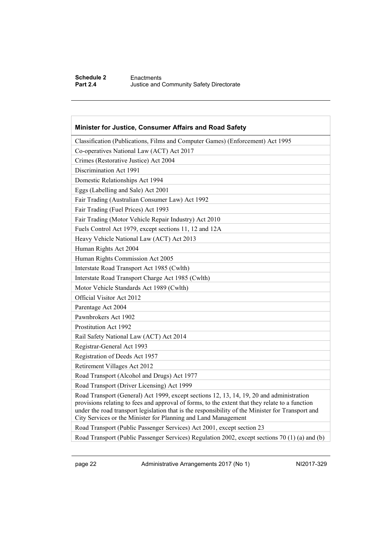### **Schedule 2** Enactments<br>**Part 2.4** Justice and **Justice and Community Safety Directorate**

| Minister for Justice, Consumer Affairs and Road Safety                                                                                                                                                                                                                                                                                                             |  |  |
|--------------------------------------------------------------------------------------------------------------------------------------------------------------------------------------------------------------------------------------------------------------------------------------------------------------------------------------------------------------------|--|--|
| Classification (Publications, Films and Computer Games) (Enforcement) Act 1995                                                                                                                                                                                                                                                                                     |  |  |
| Co-operatives National Law (ACT) Act 2017                                                                                                                                                                                                                                                                                                                          |  |  |
| Crimes (Restorative Justice) Act 2004                                                                                                                                                                                                                                                                                                                              |  |  |
| Discrimination Act 1991                                                                                                                                                                                                                                                                                                                                            |  |  |
| Domestic Relationships Act 1994                                                                                                                                                                                                                                                                                                                                    |  |  |
| Eggs (Labelling and Sale) Act 2001                                                                                                                                                                                                                                                                                                                                 |  |  |
| Fair Trading (Australian Consumer Law) Act 1992                                                                                                                                                                                                                                                                                                                    |  |  |
| Fair Trading (Fuel Prices) Act 1993                                                                                                                                                                                                                                                                                                                                |  |  |
| Fair Trading (Motor Vehicle Repair Industry) Act 2010                                                                                                                                                                                                                                                                                                              |  |  |
| Fuels Control Act 1979, except sections 11, 12 and 12A                                                                                                                                                                                                                                                                                                             |  |  |
| Heavy Vehicle National Law (ACT) Act 2013                                                                                                                                                                                                                                                                                                                          |  |  |
| Human Rights Act 2004                                                                                                                                                                                                                                                                                                                                              |  |  |
| Human Rights Commission Act 2005                                                                                                                                                                                                                                                                                                                                   |  |  |
| Interstate Road Transport Act 1985 (Cwlth)                                                                                                                                                                                                                                                                                                                         |  |  |
| Interstate Road Transport Charge Act 1985 (Cwlth)                                                                                                                                                                                                                                                                                                                  |  |  |
| Motor Vehicle Standards Act 1989 (Cwlth)                                                                                                                                                                                                                                                                                                                           |  |  |
| Official Visitor Act 2012                                                                                                                                                                                                                                                                                                                                          |  |  |
| Parentage Act 2004                                                                                                                                                                                                                                                                                                                                                 |  |  |
| Pawnbrokers Act 1902                                                                                                                                                                                                                                                                                                                                               |  |  |
| Prostitution Act 1992                                                                                                                                                                                                                                                                                                                                              |  |  |
| Rail Safety National Law (ACT) Act 2014                                                                                                                                                                                                                                                                                                                            |  |  |
| Registrar-General Act 1993                                                                                                                                                                                                                                                                                                                                         |  |  |
| Registration of Deeds Act 1957                                                                                                                                                                                                                                                                                                                                     |  |  |
| Retirement Villages Act 2012                                                                                                                                                                                                                                                                                                                                       |  |  |
| Road Transport (Alcohol and Drugs) Act 1977                                                                                                                                                                                                                                                                                                                        |  |  |
| Road Transport (Driver Licensing) Act 1999                                                                                                                                                                                                                                                                                                                         |  |  |
| Road Transport (General) Act 1999, except sections 12, 13, 14, 19, 20 and administration<br>provisions relating to fees and approval of forms, to the extent that they relate to a function<br>under the road transport legislation that is the responsibility of the Minister for Transport and<br>City Services or the Minister for Planning and Land Management |  |  |
| Road Transport (Public Passenger Services) Act 2001, except section 23                                                                                                                                                                                                                                                                                             |  |  |
| Road Transport (Public Passenger Services) Regulation 2002, except sections 70 (1) (a) and (b)                                                                                                                                                                                                                                                                     |  |  |

page 22 Administrative Arrangements 2017 (No 1) NI2017-329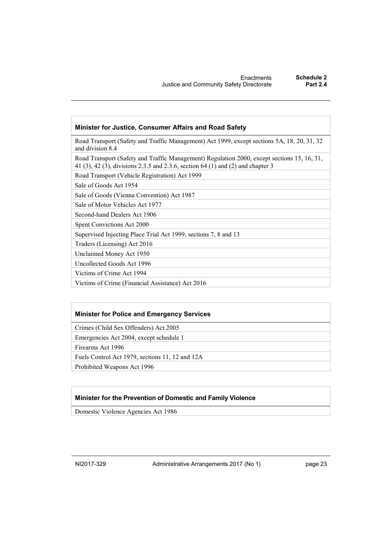#### **Minister for Justice, Consumer Affairs and Road Safety**

Road Transport (Safety and Traffic Management) Act 1999, except sections 5A, 18, 20, 31, 32 and division 8.4

Road Transport (Safety and Traffic Management) Regulation 2000, except sections 15, 16, 31, 41 (3), 42 (3), divisions 2.3.5 and 2.3.6, section 64 (1) and (2) and chapter 3

Road Transport (Vehicle Registration) Act 1999

Sale of Goods Act 1954

Sale of Goods (Vienna Convention) Act 1987

Sale of Motor Vehicles Act 1977

Second-hand Dealers Act 1906

Spent Convictions Act 2000

Supervised Injecting Place Trial Act 1999, sections 7, 8 and 13

Traders (Licensing) Act 2016

Unclaimed Money Act 1950

Uncollected Goods Act 1996

Victims of Crime Act 1994

Victims of Crime (Financial Assistance) Act 2016

#### **Minister for Police and Emergency Services**

Crimes (Child Sex Offenders) Act 2005

Emergencies Act 2004, except schedule 1

Firearms Act 1996

Fuels Control Act 1979, sections 11, 12 and 12A

Prohibited Weapons Act 1996

#### **Minister for the Prevention of Domestic and Family Violence**

Domestic Violence Agencies Act 1986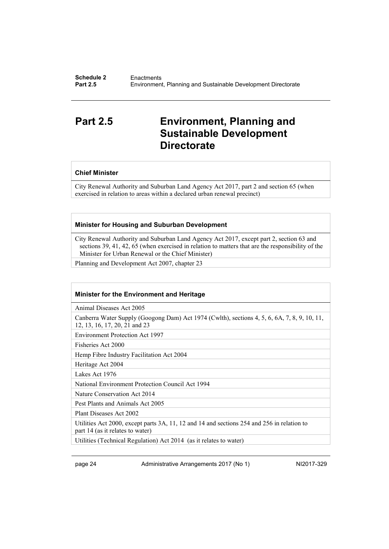## <span id="page-27-0"></span>**Part 2.5 Environment, Planning and Sustainable Development Directorate**

#### **Chief Minister**

City Renewal Authority and Suburban Land Agency Act 2017, part 2 and section 65 (when exercised in relation to areas within a declared urban renewal precinct)

#### **Minister for Housing and Suburban Development**

City Renewal Authority and Suburban Land Agency Act 2017, except part 2, section 63 and sections 39, 41, 42, 65 (when exercised in relation to matters that are the responsibility of the Minister for Urban Renewal or the Chief Minister)

Planning and Development Act 2007, chapter 23

#### **Minister for the Environment and Heritage**

Animal Diseases Act 2005

Canberra Water Supply (Googong Dam) Act 1974 (Cwlth), sections 4, 5, 6, 6A, 7, 8, 9, 10, 11, 12, 13, 16, 17, 20, 21 and 23

Environment Protection Act 1997

Fisheries Act 2000

Hemp Fibre Industry Facilitation Act 2004

Heritage Act 2004

Lakes Act 1976

National Environment Protection Council Act 1994

Nature Conservation Act 2014

Pest Plants and Animals Act 2005

Plant Diseases Act 2002

Utilities Act 2000, except parts 3A, 11, 12 and 14 and sections 254 and 256 in relation to part 14 (as it relates to water)

Utilities (Technical Regulation) Act 2014 (as it relates to water)

page 24 Administrative Arrangements 2017 (No 1) NI2017-329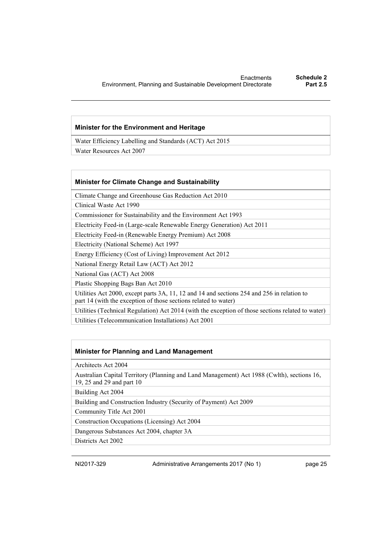#### **Minister for the Environment and Heritage**

Water Efficiency Labelling and Standards (ACT) Act 2015

Water Resources Act 2007

#### **Minister for Climate Change and Sustainability**

Climate Change and Greenhouse Gas Reduction Act 2010

Clinical Waste Act 1990

Commissioner for Sustainability and the Environment Act 1993

Electricity Feed-in (Large-scale Renewable Energy Generation) Act 2011

Electricity Feed-in (Renewable Energy Premium) Act 2008

Electricity (National Scheme) Act 1997

Energy Efficiency (Cost of Living) Improvement Act 2012

National Energy Retail Law (ACT) Act 2012

National Gas (ACT) Act 2008

Plastic Shopping Bags Ban Act 2010

Utilities Act 2000, except parts 3A, 11, 12 and 14 and sections 254 and 256 in relation to part 14 (with the exception of those sections related to water)

Utilities (Technical Regulation) Act 2014 (with the exception of those sections related to water) Utilities (Telecommunication Installations) Act 2001

### **Minister for Planning and Land Management**

Architects Act 2004

Australian Capital Territory (Planning and Land Management) Act 1988 (Cwlth), sections 16, 19, 25 and 29 and part 10

Building Act 2004

Building and Construction Industry (Security of Payment) Act 2009

Community Title Act 2001

Construction Occupations (Licensing) Act 2004

Dangerous Substances Act 2004, chapter 3A

Districts Act 2002

NI2017-329 Administrative Arrangements 2017 (No 1) page 25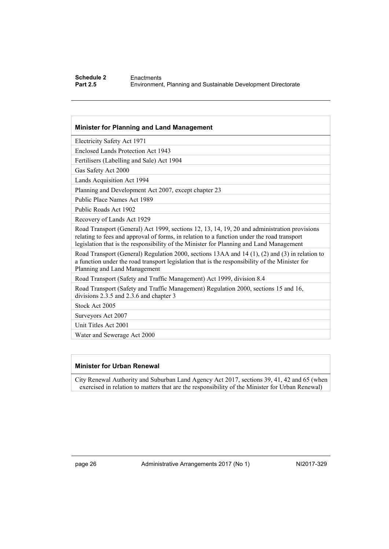#### **Schedule 2** Enactments<br> **Part 2.5** Environmen **Part 2.5** Environment, Planning and Sustainable Development Directorate

#### **Minister for Planning and Land Management**

Electricity Safety Act 1971

Enclosed Lands Protection Act 1943

Fertilisers (Labelling and Sale) Act 1904

Gas Safety Act 2000

Lands Acquisition Act 1994

Planning and Development Act 2007, except chapter 23

Public Place Names Act 1989

Public Roads Act 1902

Recovery of Lands Act 1929

Road Transport (General) Act 1999, sections 12, 13, 14, 19, 20 and administration provisions relating to fees and approval of forms, in relation to a function under the road transport legislation that is the responsibility of the Minister for Planning and Land Management

Road Transport (General) Regulation 2000, sections 13AA and 14 (1), (2) and (3) in relation to a function under the road transport legislation that is the responsibility of the Minister for Planning and Land Management

Road Transport (Safety and Traffic Management) Act 1999, division 8.4

Road Transport (Safety and Traffic Management) Regulation 2000, sections 15 and 16, divisions 2.3.5 and 2.3.6 and chapter 3

Stock Act 2005

Surveyors Act 2007

Unit Titles Act 2001

Water and Sewerage Act 2000

### **Minister for Urban Renewal**

City Renewal Authority and Suburban Land Agency Act 2017, sections 39, 41, 42 and 65 (when exercised in relation to matters that are the responsibility of the Minister for Urban Renewal)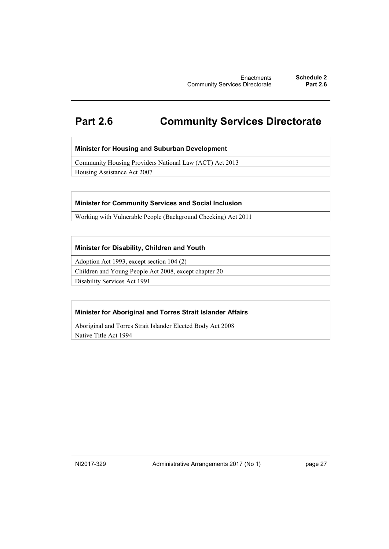## <span id="page-30-0"></span>**Part 2.6 Community Services Directorate**

### **Minister for Housing and Suburban Development**

Community Housing Providers National Law (ACT) Act 2013

Housing Assistance Act 2007

### **Minister for Community Services and Social Inclusion**

Working with Vulnerable People (Background Checking) Act 2011

### **Minister for Disability, Children and Youth**

Adoption Act 1993, except section 104 (2)

Children and Young People Act 2008, except chapter 20

Disability Services Act 1991

### **Minister for Aboriginal and Torres Strait Islander Affairs**

Aboriginal and Torres Strait Islander Elected Body Act 2008

Native Title Act 1994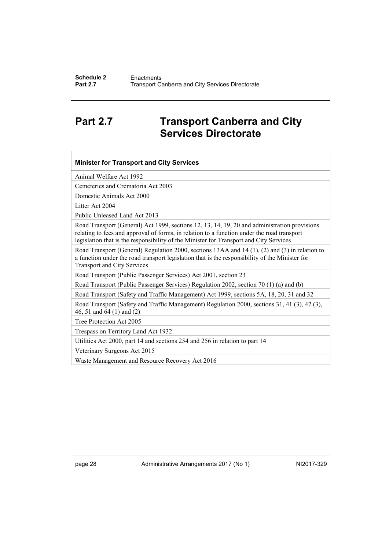## <span id="page-31-0"></span>**Part 2.7 Transport Canberra and City Services Directorate**

| <b>Minister for Transport and City Services</b>                                                                                                                                                                                                                                      |  |  |
|--------------------------------------------------------------------------------------------------------------------------------------------------------------------------------------------------------------------------------------------------------------------------------------|--|--|
| Animal Welfare Act 1992                                                                                                                                                                                                                                                              |  |  |
| Cemeteries and Crematoria Act 2003                                                                                                                                                                                                                                                   |  |  |
| Domestic Animals Act 2000                                                                                                                                                                                                                                                            |  |  |
| Litter Act 2004                                                                                                                                                                                                                                                                      |  |  |
| Public Unleased Land Act 2013                                                                                                                                                                                                                                                        |  |  |
| Road Transport (General) Act 1999, sections 12, 13, 14, 19, 20 and administration provisions<br>relating to fees and approval of forms, in relation to a function under the road transport<br>legislation that is the responsibility of the Minister for Transport and City Services |  |  |
| Road Transport (General) Regulation 2000, sections 13AA and 14 (1), (2) and (3) in relation to<br>a function under the road transport legislation that is the responsibility of the Minister for<br><b>Transport and City Services</b>                                               |  |  |
| Road Transport (Public Passenger Services) Act 2001, section 23                                                                                                                                                                                                                      |  |  |
| Road Transport (Public Passenger Services) Regulation 2002, section 70 (1) (a) and (b)                                                                                                                                                                                               |  |  |
| Road Transport (Safety and Traffic Management) Act 1999, sections 5A, 18, 20, 31 and 32                                                                                                                                                                                              |  |  |
| Road Transport (Safety and Traffic Management) Regulation 2000, sections 31, 41 (3), 42 (3),<br>46, 51 and 64 (1) and (2)                                                                                                                                                            |  |  |
| Tree Protection Act 2005                                                                                                                                                                                                                                                             |  |  |
| Trespass on Territory Land Act 1932                                                                                                                                                                                                                                                  |  |  |
| Utilities Act 2000, part 14 and sections 254 and 256 in relation to part 14                                                                                                                                                                                                          |  |  |
| Veterinary Surgeons Act 2015                                                                                                                                                                                                                                                         |  |  |
| Waste Management and Resource Recovery Act 2016                                                                                                                                                                                                                                      |  |  |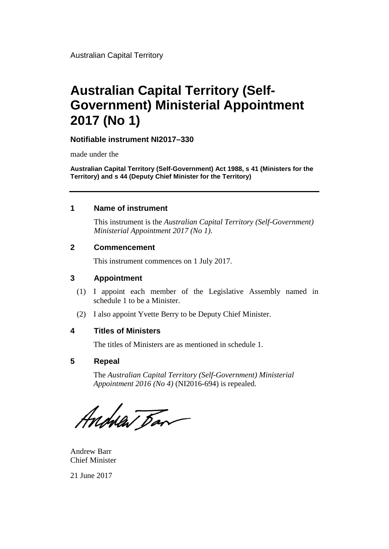# **Australian Capital Territory (Self-Government) Ministerial Appointment 2017 (No 1)**

### **Notifiable instrument NI2017–330**

made under the

**Australian Capital Territory (Self-Government) Act 1988, s 41 (Ministers for the Territory) and s 44 (Deputy Chief Minister for the Territory)**

### **1 Name of instrument**

This instrument is the *Australian Capital Territory (Self-Government) Ministerial Appointment 2017 (No 1)*.

### **2 Commencement**

This instrument commences on 1 July 2017.

### **3 Appointment**

- (1) I appoint each member of the Legislative Assembly named in schedule 1 to be a Minister.
- (2) I also appoint Yvette Berry to be Deputy Chief Minister.

### **4 Titles of Ministers**

The titles of Ministers are as mentioned in schedule 1.

### **5 Repeal**

The *Australian Capital Territory (Self-Government) Ministerial Appointment 2016 (No 4)* (NI2016-694) is repealed.

Andrew Ban

Andrew Barr Chief Minister

21 June 2017